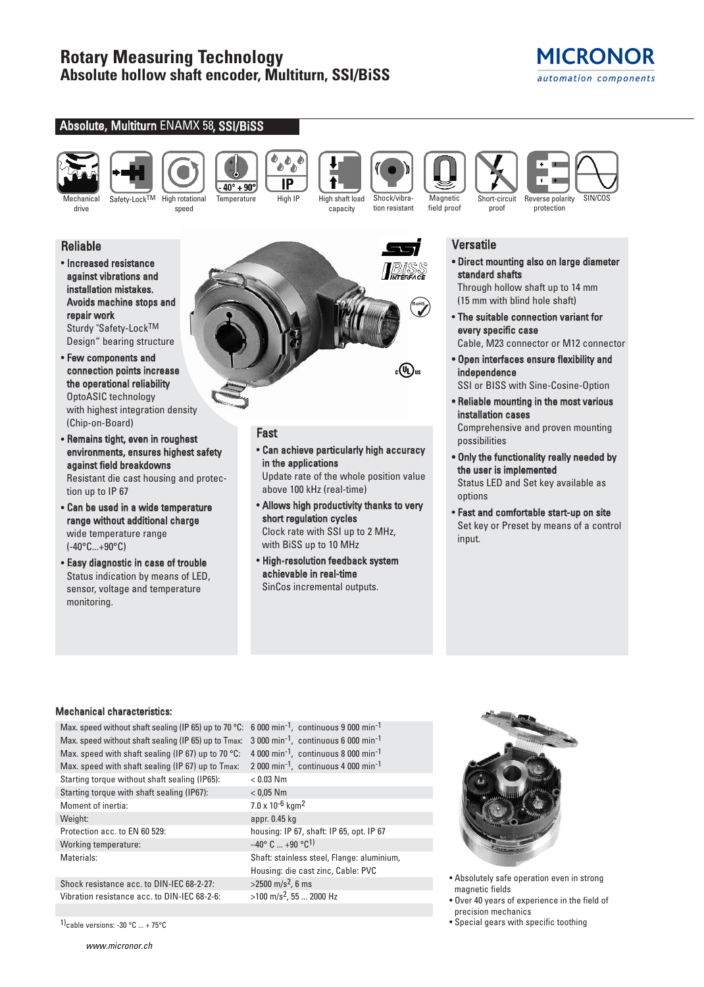# **MICRONOR** automation components





drive

speed

IP  $40^{\circ} + 90^{\circ}$ Temperature High IP High shaft load

Shock/vibra-

capacity

tion resistant

**RoHS**

 $_{\rm c}({\rm q_{\rm L}})_{\rm us}$ 

**Magnetic** field proof proof

Mechanical Safety-Lock<sup>TM</sup> High rotational Temperature High IP High shaft load Shock/vibra- Magnetic Short-circuit Reverse polarity SIN/COS Short-circuit Reverse polarity protection



• Increased resistance against vibrations and installation mistakes. Avoids machine stops and repair work

Sturdy "Safety-LockTM Design" bearing structure

- Few components and connection points increase the operational reliability OptoASIC technology with highest integration density (Chip-on-Board)
- Remains tight, even in roughest environments, ensures highest safety against field breakdowns

Resistant die cast housing and protection up to IP 67

- Can be used in a wide temperature range without additional charge wide temperature range (-40°C...+90°C)
- Easy diagnostic in case of trouble Status indication by means of LED, sensor, voltage and temperature monitoring.

# Fast

• Can achieve particularly high accuracy in the applications

Update rate of the whole position value above 100 kHz (real-time)

- Allows high productivity thanks to very short regulation cycles Clock rate with SSI up to 2 MHz, with BiSS up to 10 MHz
- High-resolution feedback system achievable in real-time SinCos incremental outputs.

## Versatile

• Direct mounting also on large diameter standard shafts

Through hollow shaft up to 14 mm (15 mm with blind hole shaft)

• The suitable connection variant for every specific case

Cable, M23 connector or M12 connector

- Open interfaces ensure flexibility and independence
- SSI or BISS with Sine-Cosine-Option • Reliable mounting in the most various
- installation cases Comprehensive and proven mounting possibilities
- Only the functionality really needed by the user is implemented Status LED and Set key available as options
- Fast and comfortable start-up on site Set key or Preset by means of a control input.

## Mechanical characteristics:

Max. speed without shaft sealing (IP 65) up to 70 °C: 6 000 min<sup>-1</sup>, continuous 9 000 min<sup>-1</sup> Max. speed without shaft sealing (IP 65) up to Tmax: 3 000 min<sup>-1</sup>, continuous 6 000 min<sup>-1</sup> Max. speed with shaft sealing (IP 67) up to 70 °C:  $-4000$  min<sup>-1</sup>, continuous 8 000 min<sup>-1</sup> Max. speed with shaft sealing (IP 67) up to Tmax: 2 000 min<sup>-1</sup>, continuous 4 000 min<sup>-1</sup> Starting torque without shaft sealing (IP65): < 0.03 Nm Starting torque with shaft sealing (IP67): < 0,05 Nm Moment of inertia:  $7.0 \times 10^{-6}$  kgm<sup>2</sup> Weight: appr. 0.45 kg Protection acc. to EN 60 529: housing: IP 67, shaft: IP 65, opt. IP 67 Working temperature:  $-40^{\circ}$  C ... +90  $^{\circ}$ C<sup>1)</sup> Materials: Shaft: stainless steel, Flange: aluminium, Shock resistance acc. to DIN-IEC 68-2-27:  $>2500 \text{ m/s}^2$ , 6 ms

Vibration resistance acc. to DIN-IEC 68-2-6:  $>100 \text{ m/s}^2$ , 55 ... 2000 Hz

Housing: die cast zinc, Cable: PVC



- Absolutely safe operation even in strong magnetic fields
- Over 40 years of experience in the field of precision mechanics
- 1)cable versions: -30 °C ... + 75°C  **Special gears with specific toothing**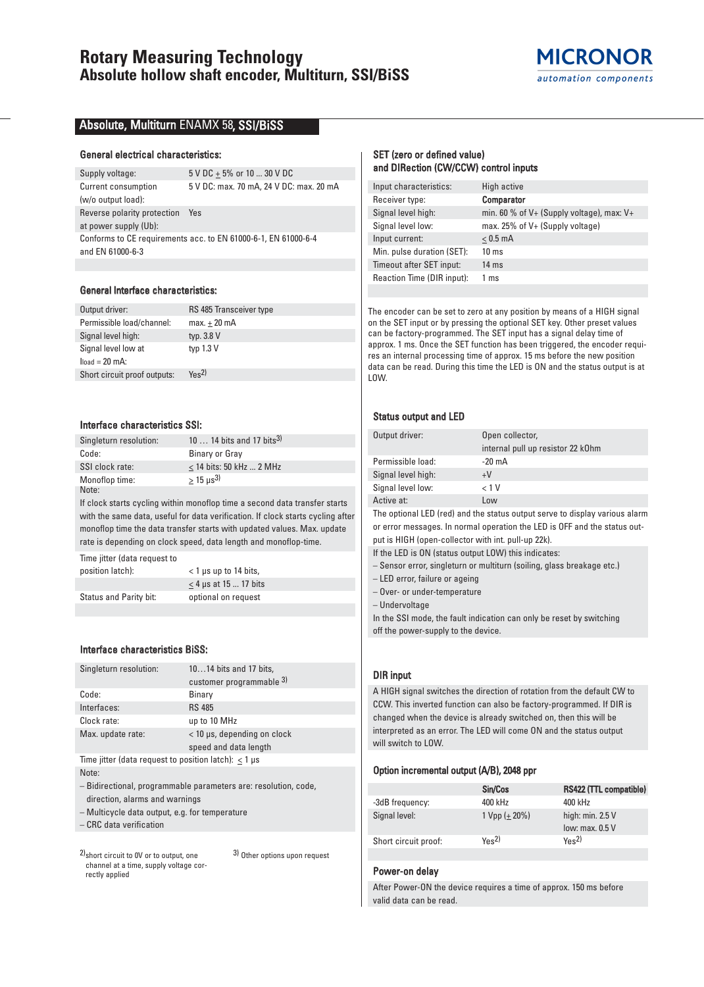

### Absolute, Multiturn ENAMX 58, SSI/BiSS

#### General electrical characteristics:

Supply voltage:  $5 \text{ V DC} \pm 5\%$  or 10 ... 30 V DC Current consumption 5 V DC: max. 70 mA, 24 V DC: max. 20 mA (w/o output load): Reverse polarity protection Yes at power supply (Ub): Conforms to CE requirements acc. to EN 61000-6-1, EN 61000-6-4 and EN 61000-6-3

#### General Interface characteristics:

| Output driver:               | RS 485 Transceiver type      |
|------------------------------|------------------------------|
| Permissible load/channel:    | $max.+20$ mA                 |
| Signal level high:           | typ. 3.8 V                   |
| Signal level low at          | typ $1.3 V$                  |
| $load = 20$ mA:              |                              |
| Short circuit proof outputs: | $Y_{\text{BS}}$ <sup>2</sup> |
|                              |                              |

#### Interface characteristics SSI:

| Singleturn resolution: | 10  14 bits and 17 bits <sup>3)</sup> |
|------------------------|---------------------------------------|
| Code:                  | Binary or Gray                        |
| SSI clock rate:        | $<$ 14 bits: 50 kHz  2 MHz            |
| Monoflop time:         | $> 15 \text{ us}^3$                   |
| Note:                  |                                       |

If clock starts cycling within monoflop time a second data transfer starts with the same data, useful for data verification. If clock starts cycling after monoflop time the data transfer starts with updated values. Max. update rate is depending on clock speed, data length and monoflop-time.

Time jitter (data request to position latch): < 1 μs up to 14 bits,  $\leq$  4 µs at 15 ... 17 bits Status and Parity bit: optional on request

### Interface characteristics BiSS:

| Singleturn resolution:                                      | 1014 bits and 17 bits,      |  |  |  |  |  |
|-------------------------------------------------------------|-----------------------------|--|--|--|--|--|
|                                                             | customer programmable 3)    |  |  |  |  |  |
| Code:                                                       | Binary                      |  |  |  |  |  |
| Interfaces:                                                 | <b>RS 485</b>               |  |  |  |  |  |
| Clock rate:                                                 | up to 10 MHz                |  |  |  |  |  |
| Max. update rate:                                           | < 10 µs, depending on clock |  |  |  |  |  |
|                                                             | speed and data length       |  |  |  |  |  |
| Time jitter (data request to position latch): $<$ 1 $\mu$ s |                             |  |  |  |  |  |

Note:

– Bidirectional, programmable parameters are: resolution, code, direction, alarms and warnings

– Multicycle data output, e.g. for temperature

– CRC data verification

2)short circuit to 0V or to output, one channel at a time, supply voltage correctly applied 3) Other options upon request

### SET (zero or defined value) and DIRection (CW/CCW) control inputs

| High active                                   |
|-----------------------------------------------|
| <b>Comparator</b>                             |
| min. 60 % of $V+$ (Supply voltage), max: $V+$ |
| max. $25\%$ of V+ (Supply voltage)            |
| $< 0.5$ mA                                    |
| $10 \text{ ms}$                               |
| $14 \text{ ms}$                               |
| 1 ms                                          |
|                                               |

The encoder can be set to zero at any position by means of a HIGH signal on the SET input or by pressing the optional SET key. Other preset values can be factory-programmed. The SET input has a signal delay time of approx. 1 ms. Once the SET function has been triggered, the encoder requires an internal processing time of approx. 15 ms before the new position data can be read. During this time the LED is ON and the status output is at LOW.

#### Status output and LED

| Output driver:     | Open collector,                   |  |  |  |  |  |
|--------------------|-----------------------------------|--|--|--|--|--|
|                    | internal pull up resistor 22 kOhm |  |  |  |  |  |
| Permissible load:  | $-20 \text{ mA}$                  |  |  |  |  |  |
| Signal level high: | $+V$                              |  |  |  |  |  |
| Signal level low:  | < 1 V                             |  |  |  |  |  |
| Active at:         | Low                               |  |  |  |  |  |

The optional LED (red) and the status output serve to display various alarm or error messages. In normal operation the LED is OFF and the status out-

put is HIGH (open-collector with int. pull-up 22k). If the LED is ON (status output LOW) this indicates:

– Sensor error, singleturn or multiturn (soiling, glass breakage etc.)

– LED error, failure or ageing

– Over- or under-temperature

– Undervoltage

In the SSI mode, the fault indication can only be reset by switching off the power-supply to the device.

### DIR input

A HIGH signal switches the direction of rotation from the default CW to CCW. This inverted function can also be factory-programmed. If DIR is changed when the device is already switched on, then this will be interpreted as an error. The LED will come ON and the status output will switch to LOW.

#### Option incremental output (A/B), 2048 ppr

|                      | Sin/Cos          | RS422 (TTL compatible)       |
|----------------------|------------------|------------------------------|
| -3dB frequency:      | 400 kHz          | 400 kHz                      |
| Signal level:        | 1 Vpp $(+ 20\%)$ | high: $min. 2.5 V$           |
|                      |                  | low: max. 0.5 V              |
| Short circuit proof: | Yes <sup>2</sup> | $Y_{\text{BS}}$ <sup>2</sup> |

#### Power-on delay

After Power-ON the device requires a time of approx. 150 ms before valid data can be read.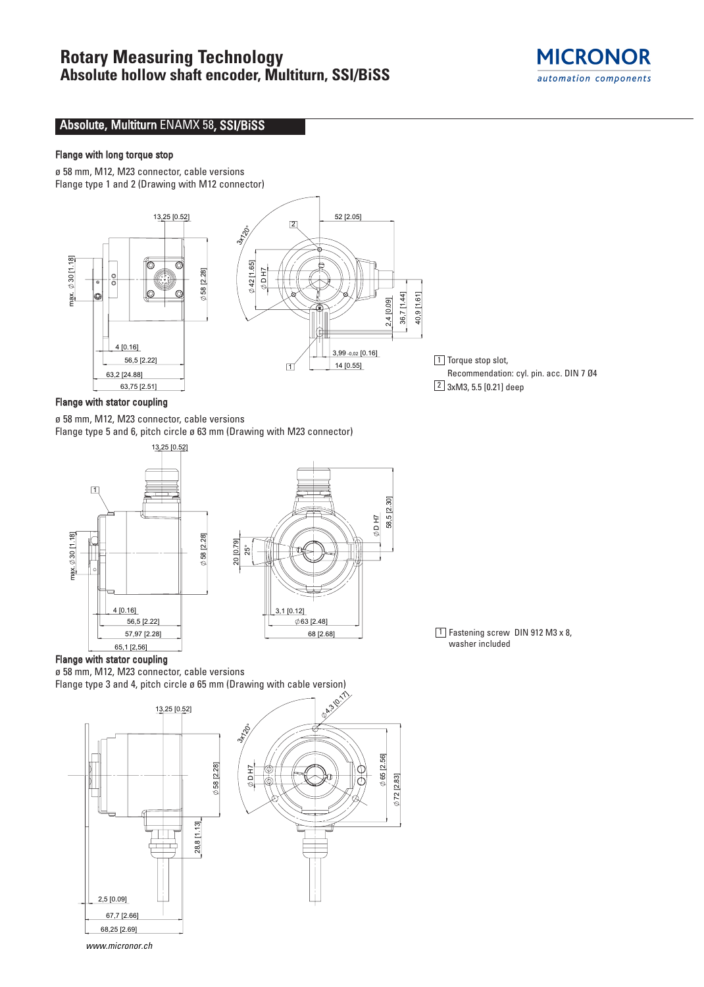

## Absolute, Multiturn ENAMX 58, SSI/BiSS

### Flange with long torque stop

ø 58 mm, M12, M23 connector, cable versions Flange type 1 and 2 (Drawing with M12 connector)



1 Torque stop slot, Recommendation: cyl. pin. acc. DIN 7 Ø4  $2$  3xM3, 5.5 [0.21] deep

 $1$  Fastening screw DIN 912 M3 x 8,

washer included

## Flange with stator coupling

ø 58 mm, M12, M23 connector, cable versions Flange type 5 and 6, pitch circle ø 63 mm (Drawing with M23 connector)



### Flange with stator coupling

ø 58 mm, M12, M23 connector, cable versions

Flange type 3 and 4, pitch circle ø 65 mm (Drawing with cable version)



www.micronor.ch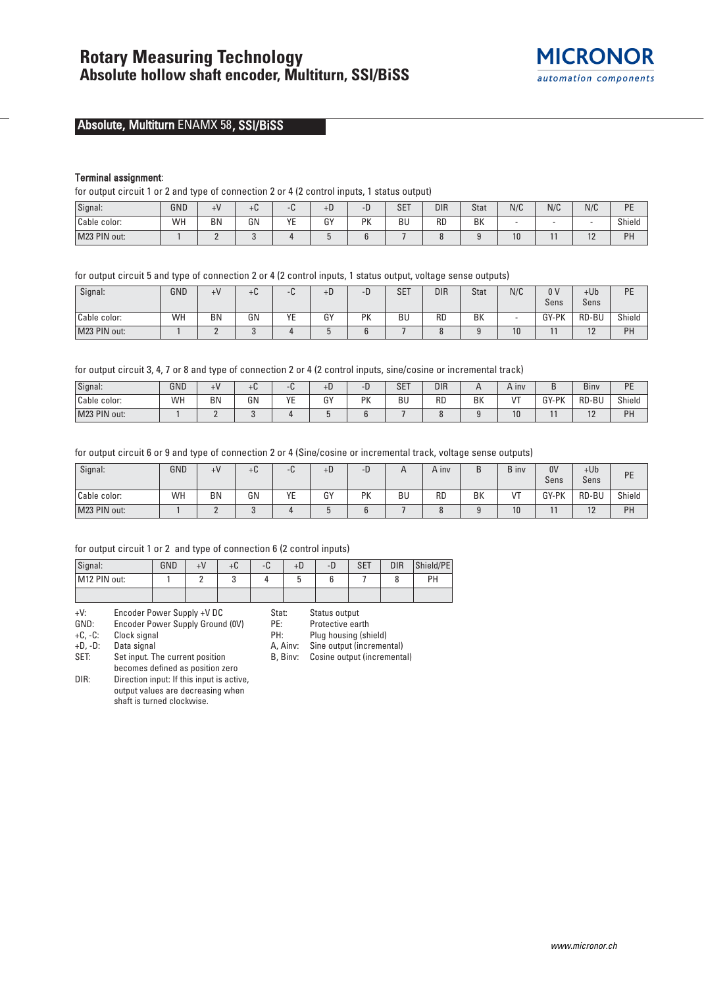

# Absolute, Multiturn ENAMX 58, SSI/BiSS

#### Terminal assignment:

for output circuit 1 or 2 and type of connection 2 or 4 (2 control inputs, 1 status output)

| Signal:      | GND | ⊥V        | +u |    | $+D$ | ◡        | <b>SET</b> | <b>DIR</b> | Stat | N/C | N/C | N/C                  | <b>DE</b><br>. |
|--------------|-----|-----------|----|----|------|----------|------------|------------|------|-----|-----|----------------------|----------------|
| Cable color: | WH  | <b>BN</b> | GN | YE | GY   | DV<br>'N | BU         | <b>RD</b>  | BK   |     |     |                      | Shield         |
| M23 PIN out: |     | -         |    |    |      |          |            |            |      | 10  |     | $\sim$<br>. <u>.</u> | PH             |

for output circuit 5 and type of connection 2 or 4 (2 control inputs, 1 status output, voltage sense outputs)

| Signal:      | GND | $+V$     | +C | C<br>∹⊍∹       | $+b$ | −<br>- v | <b>SET</b> | <b>DIR</b> | <b>Stat</b> | N/C | 0 <sup>0</sup> | $+Ub$    | PE     |
|--------------|-----|----------|----|----------------|------|----------|------------|------------|-------------|-----|----------------|----------|--------|
|              |     |          |    |                |      |          |            |            |             |     | Sens           | Sens     |        |
| Cable color: | WH  | BN       | GN | VE<br><u>.</u> | GY   | PK       | BU         | <b>RD</b>  | BK          |     | GY-PK          | RD-BU    | Shield |
| M23 PIN out: |     | <u>_</u> |    |                |      |          |            | $\Omega$   |             | 10  |                | $\Delta$ | PH     |

for output circuit 3, 4, 7 or 8 and type of connection 2 or 4 (2 control inputs, sine/cosine or incremental track)

| Signal:      | GND | + V | +u. |                          | $+b$         |                 | <b>SET</b> | <b>DIR</b> |    | A INV      |           | $\sim$<br>Biny        | DE<br>- |
|--------------|-----|-----|-----|--------------------------|--------------|-----------------|------------|------------|----|------------|-----------|-----------------------|---------|
| Cable color: | WH  | BN  | GN  | $V_{\Gamma}$<br>. .<br>- | $\sim$<br>υ. | <b>DV</b><br>'N | <b>BU</b>  | <b>RD</b>  | BK | $\sqrt{2}$ | GY<br>-PK | RD-BU                 | Shield  |
| M23 PIN out: |     |     |     |                          |              |                 |            |            |    | 10         |           | $\overline{a}$<br>. . | PH      |

for output circuit 6 or 9 and type of connection 2 or 4 (Sine/cosine or incremental track, voltage sense outputs)

| Signal:      | GND | $+V$      | +u | ∹⊍∹      | $+D$         | - 1<br>╺ |    | A inv     | ◡  | B inv       | 0V<br>Sens | $+Ub$<br>Sens | PE     |
|--------------|-----|-----------|----|----------|--------------|----------|----|-----------|----|-------------|------------|---------------|--------|
| Cable color: | WH  | <b>BN</b> | GN | VE<br>∊∟ | $\sim$<br>បា | PK       | BU | <b>RD</b> | BK | $^{\prime}$ | GY-PK      | RD-BU         | Shield |
| M23 PIN out: |     | -         |    |          |              |          |    |           |    | 10          |            | $\sim$<br>1 L | PH     |

#### for output circuit 1 or 2 and type of connection 6 (2 control inputs)

| Signal:      | GND | tU | ΞЬ. | +D | -1. | <b>SET</b> | <b>DIR</b> | Shield/PE |
|--------------|-----|----|-----|----|-----|------------|------------|-----------|
| M12 PIN out: |     |    |     |    |     |            |            | DЦ        |
|              |     |    |     |    |     |            |            |           |

| $+V$ :        |  | Encoder Power Supply +V DC |  |        |  |
|---------------|--|----------------------------|--|--------|--|
| $\sim$ $\sim$ |  |                            |  | 1.5333 |  |

GND: Encoder Power Supply Ground (OV)<br>+C, -C: Clock signal

Clock signal

+D, -D: Data signal

SET: Set input. The current position

becomes defined as position zero DIR: Direction input: If this input is active, output values are decreasing when shaft is turned clockwise.

Stat: Status output

PE: Protective earth<br>PH: Plug housing (sh Plug housing (shield)

A, Ainv: Sine output (incremental)

B, Binv: Cosine output (incremental)